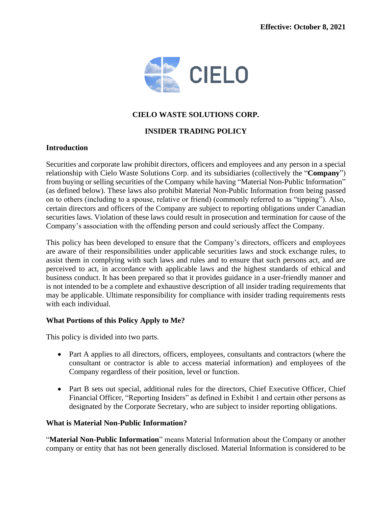

# **CIELO WASTE SOLUTIONS CORP.**

# **INSIDER TRADING POLICY**

# **Introduction**

Securities and corporate law prohibit directors, officers and employees and any person in a special relationship with Cielo Waste Solutions Corp. and its subsidiaries (collectively the "**Company**") from buying or selling securities of the Company while having "Material Non-Public Information" (as defined below). These laws also prohibit Material Non-Public Information from being passed on to others (including to a spouse, relative or friend) (commonly referred to as "tipping"). Also, certain directors and officers of the Company are subject to reporting obligations under Canadian securities laws. Violation of these laws could result in prosecution and termination for cause of the Company's association with the offending person and could seriously affect the Company.

This policy has been developed to ensure that the Company's directors, officers and employees are aware of their responsibilities under applicable securities laws and stock exchange rules, to assist them in complying with such laws and rules and to ensure that such persons act, and are perceived to act, in accordance with applicable laws and the highest standards of ethical and business conduct. It has been prepared so that it provides guidance in a user-friendly manner and is not intended to be a complete and exhaustive description of all insider trading requirements that may be applicable. Ultimate responsibility for compliance with insider trading requirements rests with each individual.

# **What Portions of this Policy Apply to Me?**

This policy is divided into two parts.

- Part A applies to all directors, officers, employees, consultants and contractors (where the consultant or contractor is able to access material information) and employees of the Company regardless of their position, level or function.
- Part B sets out special, additional rules for the directors, Chief Executive Officer, Chief Financial Officer, "Reporting Insiders" as defined in Exhibit 1 and certain other persons as designated by the Corporate Secretary, who are subject to insider reporting obligations.

# **What is Material Non-Public Information?**

"**Material Non-Public Information**" means Material Information about the Company or another company or entity that has not been generally disclosed. Material Information is considered to be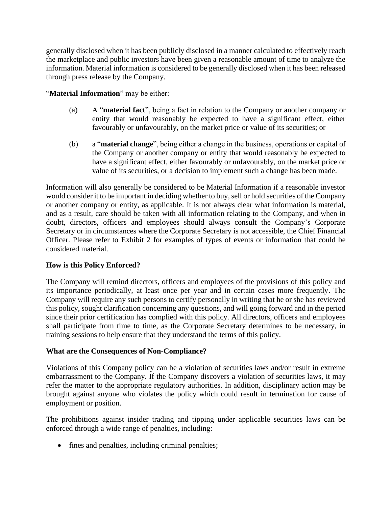generally disclosed when it has been publicly disclosed in a manner calculated to effectively reach the marketplace and public investors have been given a reasonable amount of time to analyze the information. Material information is considered to be generally disclosed when it has been released through press release by the Company.

# "**Material Information**" may be either:

- (a) A "**material fact**", being a fact in relation to the Company or another company or entity that would reasonably be expected to have a significant effect, either favourably or unfavourably, on the market price or value of its securities; or
- (b) a "**material change**", being either a change in the business, operations or capital of the Company or another company or entity that would reasonably be expected to have a significant effect, either favourably or unfavourably, on the market price or value of its securities, or a decision to implement such a change has been made.

Information will also generally be considered to be Material Information if a reasonable investor would consider it to be important in deciding whether to buy, sell or hold securities of the Company or another company or entity, as applicable. It is not always clear what information is material, and as a result, care should be taken with all information relating to the Company, and when in doubt, directors, officers and employees should always consult the Company's Corporate Secretary or in circumstances where the Corporate Secretary is not accessible, the Chief Financial Officer. Please refer to Exhibit 2 for examples of types of events or information that could be considered material.

# **How is this Policy Enforced?**

The Company will remind directors, officers and employees of the provisions of this policy and its importance periodically, at least once per year and in certain cases more frequently. The Company will require any such persons to certify personally in writing that he or she has reviewed this policy, sought clarification concerning any questions, and will going forward and in the period since their prior certification has complied with this policy. All directors, officers and employees shall participate from time to time, as the Corporate Secretary determines to be necessary, in training sessions to help ensure that they understand the terms of this policy.

# **What are the Consequences of Non-Compliance?**

Violations of this Company policy can be a violation of securities laws and/or result in extreme embarrassment to the Company. If the Company discovers a violation of securities laws, it may refer the matter to the appropriate regulatory authorities. In addition, disciplinary action may be brought against anyone who violates the policy which could result in termination for cause of employment or position.

The prohibitions against insider trading and tipping under applicable securities laws can be enforced through a wide range of penalties, including:

• fines and penalties, including criminal penalties;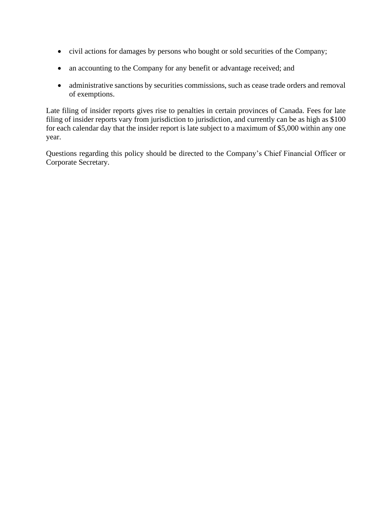- civil actions for damages by persons who bought or sold securities of the Company;
- an accounting to the Company for any benefit or advantage received; and
- administrative sanctions by securities commissions, such as cease trade orders and removal of exemptions.

Late filing of insider reports gives rise to penalties in certain provinces of Canada. Fees for late filing of insider reports vary from jurisdiction to jurisdiction, and currently can be as high as \$100 for each calendar day that the insider report is late subject to a maximum of \$5,000 within any one year.

Questions regarding this policy should be directed to the Company's Chief Financial Officer or Corporate Secretary.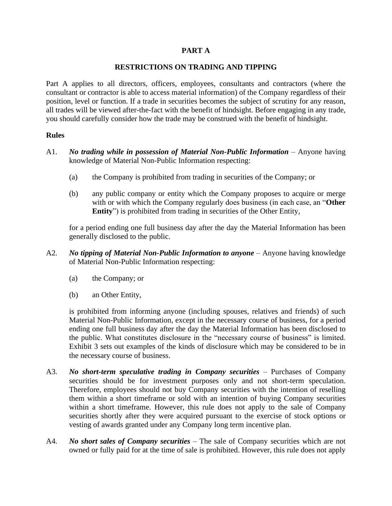# **PART A**

# **RESTRICTIONS ON TRADING AND TIPPING**

Part A applies to all directors, officers, employees, consultants and contractors (where the consultant or contractor is able to access material information) of the Company regardless of their position, level or function. If a trade in securities becomes the subject of scrutiny for any reason, all trades will be viewed after-the-fact with the benefit of hindsight. Before engaging in any trade, you should carefully consider how the trade may be construed with the benefit of hindsight.

# **Rules**

- A1. *No trading while in possession of Material Non-Public Information* Anyone having knowledge of Material Non-Public Information respecting:
	- (a) the Company is prohibited from trading in securities of the Company; or
	- (b) any public company or entity which the Company proposes to acquire or merge with or with which the Company regularly does business (in each case, an "**Other Entity**") is prohibited from trading in securities of the Other Entity,

for a period ending one full business day after the day the Material Information has been generally disclosed to the public.

- A2. *No tipping of Material Non-Public Information to anyone* Anyone having knowledge of Material Non-Public Information respecting:
	- (a) the Company; or
	- (b) an Other Entity,

is prohibited from informing anyone (including spouses, relatives and friends) of such Material Non-Public Information, except in the necessary course of business, for a period ending one full business day after the day the Material Information has been disclosed to the public. What constitutes disclosure in the "necessary course of business" is limited. Exhibit 3 sets out examples of the kinds of disclosure which may be considered to be in the necessary course of business.

- A3. *No short-term speculative trading in Company securities* Purchases of Company securities should be for investment purposes only and not short-term speculation. Therefore, employees should not buy Company securities with the intention of reselling them within a short timeframe or sold with an intention of buying Company securities within a short timeframe. However, this rule does not apply to the sale of Company securities shortly after they were acquired pursuant to the exercise of stock options or vesting of awards granted under any Company long term incentive plan.
- A4. *No short sales of Company securities* The sale of Company securities which are not owned or fully paid for at the time of sale is prohibited. However, this rule does not apply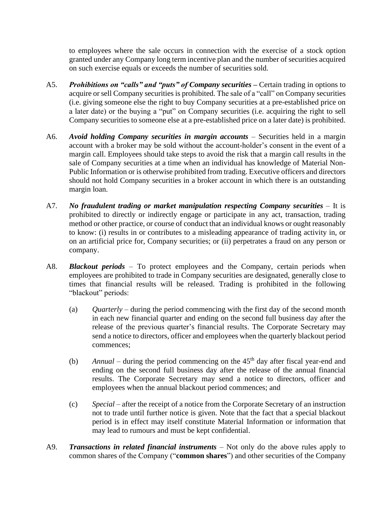to employees where the sale occurs in connection with the exercise of a stock option granted under any Company long term incentive plan and the number of securities acquired on such exercise equals or exceeds the number of securities sold.

- A5. *Prohibitions on "calls" and "puts" of Company securities* **–** Certain trading in options to acquire or sell Company securities is prohibited. The sale of a "call" on Company securities (i.e. giving someone else the right to buy Company securities at a pre-established price on a later date) or the buying a "put" on Company securities (i.e. acquiring the right to sell Company securities to someone else at a pre-established price on a later date) is prohibited.
- A6. *Avoid holding Company securities in margin accounts* Securities held in a margin account with a broker may be sold without the account-holder's consent in the event of a margin call. Employees should take steps to avoid the risk that a margin call results in the sale of Company securities at a time when an individual has knowledge of Material Non-Public Information or is otherwise prohibited from trading. Executive officers and directors should not hold Company securities in a broker account in which there is an outstanding margin loan.
- A7. *No fraudulent trading or market manipulation respecting Company securities* It is prohibited to directly or indirectly engage or participate in any act, transaction, trading method or other practice, or course of conduct that an individual knows or ought reasonably to know: (i) results in or contributes to a misleading appearance of trading activity in, or on an artificial price for, Company securities; or (ii) perpetrates a fraud on any person or company.
- A8. *Blackout periods* To protect employees and the Company, certain periods when employees are prohibited to trade in Company securities are designated, generally close to times that financial results will be released. Trading is prohibited in the following "blackout" periods:
	- (a) *Quarterly* during the period commencing with the first day of the second month in each new financial quarter and ending on the second full business day after the release of the previous quarter's financial results. The Corporate Secretary may send a notice to directors, officer and employees when the quarterly blackout period commences;
	- (b) *Annual* during the period commencing on the  $45<sup>th</sup>$  day after fiscal year-end and ending on the second full business day after the release of the annual financial results. The Corporate Secretary may send a notice to directors, officer and employees when the annual blackout period commences; and
	- (c) *Special* after the receipt of a notice from the Corporate Secretary of an instruction not to trade until further notice is given. Note that the fact that a special blackout period is in effect may itself constitute Material Information or information that may lead to rumours and must be kept confidential.
- A9. *Transactions in related financial instruments* Not only do the above rules apply to common shares of the Company ("**common shares**") and other securities of the Company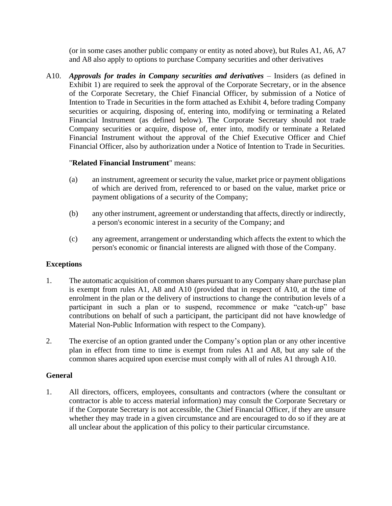(or in some cases another public company or entity as noted above), but Rules A1, A6, A7 and A8 also apply to options to purchase Company securities and other derivatives

A10. *Approvals for trades in Company securities and derivatives* – Insiders (as defined in Exhibit 1) are required to seek the approval of the Corporate Secretary, or in the absence of the Corporate Secretary, the Chief Financial Officer, by submission of a Notice of Intention to Trade in Securities in the form attached as Exhibit 4, before trading Company securities or acquiring, disposing of, entering into, modifying or terminating a Related Financial Instrument (as defined below). The Corporate Secretary should not trade Company securities or acquire, dispose of, enter into, modify or terminate a Related Financial Instrument without the approval of the Chief Executive Officer and Chief Financial Officer, also by authorization under a Notice of Intention to Trade in Securities.

# "**Related Financial Instrument**" means:

- (a) an instrument, agreement or security the value, market price or payment obligations of which are derived from, referenced to or based on the value, market price or payment obligations of a security of the Company;
- (b) any other instrument, agreement or understanding that affects, directly or indirectly, a person's economic interest in a security of the Company; and
- (c) any agreement, arrangement or understanding which affects the extent to which the person's economic or financial interests are aligned with those of the Company.

# **Exceptions**

- 1. The automatic acquisition of common shares pursuant to any Company share purchase plan is exempt from rules A1, A8 and A10 (provided that in respect of A10, at the time of enrolment in the plan or the delivery of instructions to change the contribution levels of a participant in such a plan or to suspend, recommence or make "catch-up" base contributions on behalf of such a participant, the participant did not have knowledge of Material Non-Public Information with respect to the Company).
- 2. The exercise of an option granted under the Company's option plan or any other incentive plan in effect from time to time is exempt from rules A1 and A8, but any sale of the common shares acquired upon exercise must comply with all of rules A1 through A10.

# **General**

1. All directors, officers, employees, consultants and contractors (where the consultant or contractor is able to access material information) may consult the Corporate Secretary or if the Corporate Secretary is not accessible, the Chief Financial Officer, if they are unsure whether they may trade in a given circumstance and are encouraged to do so if they are at all unclear about the application of this policy to their particular circumstance.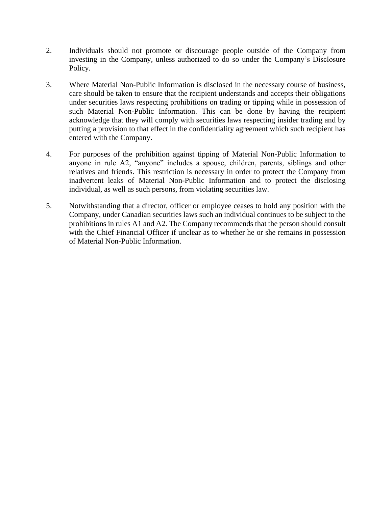- 2. Individuals should not promote or discourage people outside of the Company from investing in the Company, unless authorized to do so under the Company's Disclosure Policy.
- 3. Where Material Non-Public Information is disclosed in the necessary course of business, care should be taken to ensure that the recipient understands and accepts their obligations under securities laws respecting prohibitions on trading or tipping while in possession of such Material Non-Public Information. This can be done by having the recipient acknowledge that they will comply with securities laws respecting insider trading and by putting a provision to that effect in the confidentiality agreement which such recipient has entered with the Company.
- 4. For purposes of the prohibition against tipping of Material Non-Public Information to anyone in rule A2, "anyone" includes a spouse, children, parents, siblings and other relatives and friends. This restriction is necessary in order to protect the Company from inadvertent leaks of Material Non-Public Information and to protect the disclosing individual, as well as such persons, from violating securities law.
- 5. Notwithstanding that a director, officer or employee ceases to hold any position with the Company, under Canadian securities laws such an individual continues to be subject to the prohibitions in rules A1 and A2. The Company recommends that the person should consult with the Chief Financial Officer if unclear as to whether he or she remains in possession of Material Non-Public Information.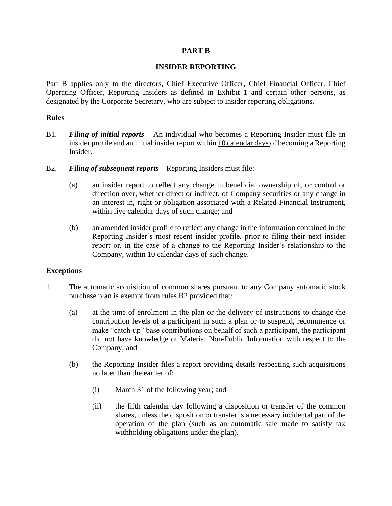# **PART B**

# **INSIDER REPORTING**

Part B applies only to the directors, Chief Executive Officer, Chief Financial Officer, Chief Operating Officer, Reporting Insiders as defined in Exhibit 1 and certain other persons, as designated by the Corporate Secretary, who are subject to insider reporting obligations.

# **Rules**

- B1. *Filing of initial reports* An individual who becomes a Reporting Insider must file an insider profile and an initial insider report within 10 calendar days of becoming a Reporting Insider.
- B2. *Filing of subsequent reports* Reporting Insiders must file:
	- (a) an insider report to reflect any change in beneficial ownership of, or control or direction over, whether direct or indirect, of Company securities or any change in an interest in, right or obligation associated with a Related Financial Instrument, within five calendar days of such change; and
	- (b) an amended insider profile to reflect any change in the information contained in the Reporting Insider's most recent insider profile, prior to filing their next insider report or, in the case of a change to the Reporting Insider's relationship to the Company, within 10 calendar days of such change.

# **Exceptions**

- 1. The automatic acquisition of common shares pursuant to any Company automatic stock purchase plan is exempt from rules B2 provided that:
	- (a) at the time of enrolment in the plan or the delivery of instructions to change the contribution levels of a participant in such a plan or to suspend, recommence or make "catch-up" base contributions on behalf of such a participant, the participant did not have knowledge of Material Non-Public Information with respect to the Company; and
	- (b) the Reporting Insider files a report providing details respecting such acquisitions no later than the earlier of:
		- (i) March 31 of the following year; and
		- (ii) the fifth calendar day following a disposition or transfer of the common shares, unless the disposition or transfer is a necessary incidental part of the operation of the plan (such as an automatic sale made to satisfy tax withholding obligations under the plan).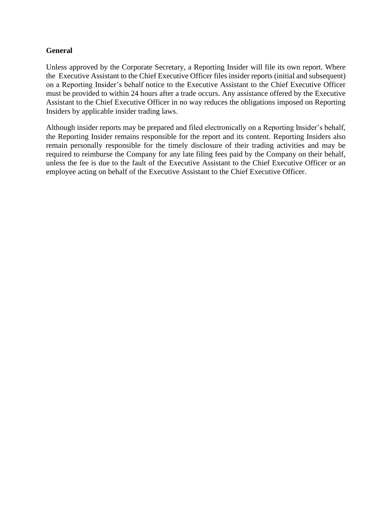# **General**

Unless approved by the Corporate Secretary, a Reporting Insider will file its own report. Where the Executive Assistant to the Chief Executive Officer files insider reports (initial and subsequent) on a Reporting Insider's behalf notice to the Executive Assistant to the Chief Executive Officer must be provided to within 24 hours after a trade occurs. Any assistance offered by the Executive Assistant to the Chief Executive Officer in no way reduces the obligations imposed on Reporting Insiders by applicable insider trading laws.

Although insider reports may be prepared and filed electronically on a Reporting Insider's behalf, the Reporting Insider remains responsible for the report and its content. Reporting Insiders also remain personally responsible for the timely disclosure of their trading activities and may be required to reimburse the Company for any late filing fees paid by the Company on their behalf, unless the fee is due to the fault of the Executive Assistant to the Chief Executive Officer or an employee acting on behalf of the Executive Assistant to the Chief Executive Officer.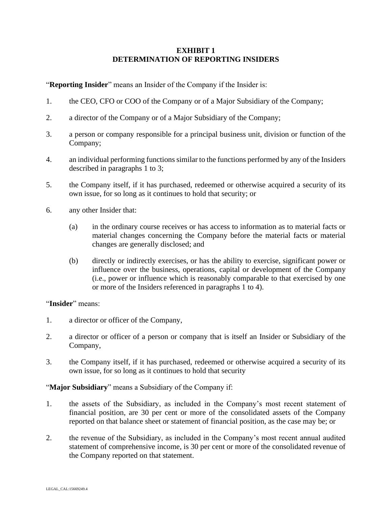# **EXHIBIT 1 DETERMINATION OF REPORTING INSIDERS**

"**Reporting Insider**" means an Insider of the Company if the Insider is:

- 1. the CEO, CFO or COO of the Company or of a Major Subsidiary of the Company;
- 2. a director of the Company or of a Major Subsidiary of the Company;
- 3. a person or company responsible for a principal business unit, division or function of the Company;
- 4. an individual performing functions similar to the functions performed by any of the Insiders described in paragraphs 1 to 3;
- 5. the Company itself, if it has purchased, redeemed or otherwise acquired a security of its own issue, for so long as it continues to hold that security; or
- 6. any other Insider that:
	- (a) in the ordinary course receives or has access to information as to material facts or material changes concerning the Company before the material facts or material changes are generally disclosed; and
	- (b) directly or indirectly exercises, or has the ability to exercise, significant power or influence over the business, operations, capital or development of the Company (i.e., power or influence which is reasonably comparable to that exercised by one or more of the Insiders referenced in paragraphs 1 to 4).

# "**Insider**" means:

- 1. a director or officer of the Company,
- 2. a director or officer of a person or company that is itself an Insider or Subsidiary of the Company,
- 3. the Company itself, if it has purchased, redeemed or otherwise acquired a security of its own issue, for so long as it continues to hold that security

# "**Major Subsidiary**" means a Subsidiary of the Company if:

- 1. the assets of the Subsidiary, as included in the Company's most recent statement of financial position, are 30 per cent or more of the consolidated assets of the Company reported on that balance sheet or statement of financial position, as the case may be; or
- 2. the revenue of the Subsidiary, as included in the Company's most recent annual audited statement of comprehensive income, is 30 per cent or more of the consolidated revenue of the Company reported on that statement.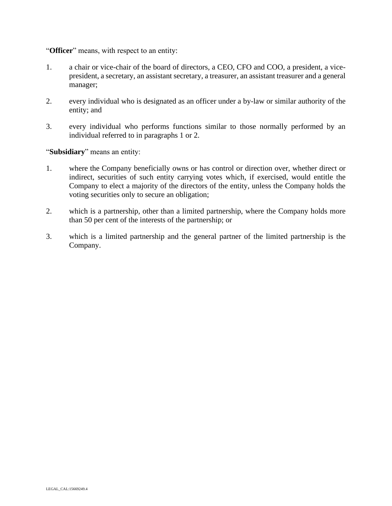"**Officer**" means, with respect to an entity:

- 1. a chair or vice-chair of the board of directors, a CEO, CFO and COO, a president, a vicepresident, a secretary, an assistant secretary, a treasurer, an assistant treasurer and a general manager;
- 2. every individual who is designated as an officer under a by-law or similar authority of the entity; and
- 3. every individual who performs functions similar to those normally performed by an individual referred to in paragraphs 1 or 2.

"**Subsidiary**" means an entity:

- 1. where the Company beneficially owns or has control or direction over, whether direct or indirect, securities of such entity carrying votes which, if exercised, would entitle the Company to elect a majority of the directors of the entity, unless the Company holds the voting securities only to secure an obligation;
- 2. which is a partnership, other than a limited partnership, where the Company holds more than 50 per cent of the interests of the partnership; or
- 3. which is a limited partnership and the general partner of the limited partnership is the Company.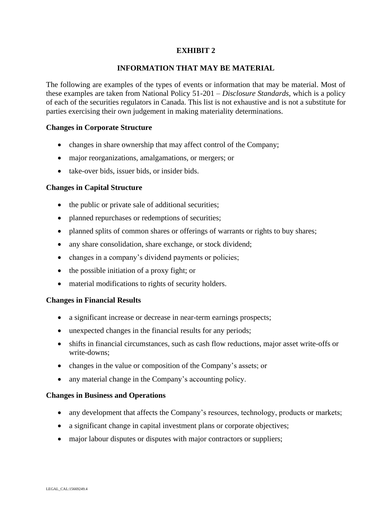# **EXHIBIT 2**

# **INFORMATION THAT MAY BE MATERIAL**

The following are examples of the types of events or information that may be material. Most of these examples are taken from National Policy 51-201 – *Disclosure Standards*, which is a policy of each of the securities regulators in Canada. This list is not exhaustive and is not a substitute for parties exercising their own judgement in making materiality determinations.

# **Changes in Corporate Structure**

- changes in share ownership that may affect control of the Company;
- major reorganizations, amalgamations, or mergers; or
- take-over bids, issuer bids, or insider bids.

# **Changes in Capital Structure**

- the public or private sale of additional securities;
- planned repurchases or redemptions of securities;
- planned splits of common shares or offerings of warrants or rights to buy shares;
- any share consolidation, share exchange, or stock dividend;
- changes in a company's dividend payments or policies;
- the possible initiation of a proxy fight; or
- material modifications to rights of security holders.

#### **Changes in Financial Results**

- a significant increase or decrease in near-term earnings prospects;
- unexpected changes in the financial results for any periods;
- shifts in financial circumstances, such as cash flow reductions, major asset write-offs or write-downs;
- changes in the value or composition of the Company's assets; or
- any material change in the Company's accounting policy.

#### **Changes in Business and Operations**

- any development that affects the Company's resources, technology, products or markets;
- a significant change in capital investment plans or corporate objectives;
- major labour disputes or disputes with major contractors or suppliers;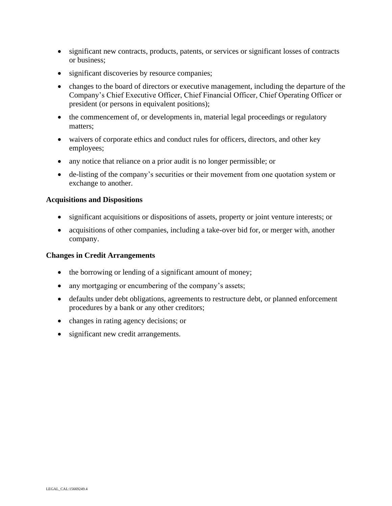- significant new contracts, products, patents, or services or significant losses of contracts or business;
- significant discoveries by resource companies;
- changes to the board of directors or executive management, including the departure of the Company's Chief Executive Officer, Chief Financial Officer, Chief Operating Officer or president (or persons in equivalent positions);
- the commencement of, or developments in, material legal proceedings or regulatory matters;
- waivers of corporate ethics and conduct rules for officers, directors, and other key employees;
- any notice that reliance on a prior audit is no longer permissible; or
- de-listing of the company's securities or their movement from one quotation system or exchange to another.

#### **Acquisitions and Dispositions**

- significant acquisitions or dispositions of assets, property or joint venture interests; or
- acquisitions of other companies, including a take-over bid for, or merger with, another company.

#### **Changes in Credit Arrangements**

- the borrowing or lending of a significant amount of money;
- any mortgaging or encumbering of the company's assets;
- defaults under debt obligations, agreements to restructure debt, or planned enforcement procedures by a bank or any other creditors;
- changes in rating agency decisions; or
- significant new credit arrangements.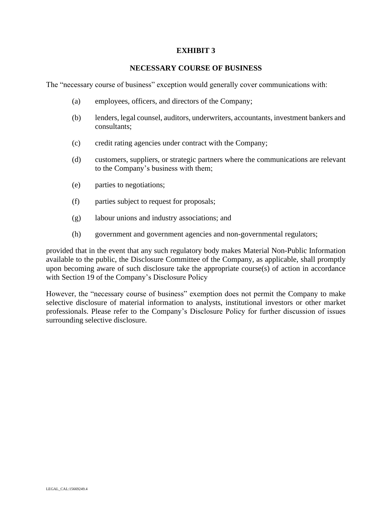# **EXHIBIT 3**

#### **NECESSARY COURSE OF BUSINESS**

The "necessary course of business" exception would generally cover communications with:

- (a) employees, officers, and directors of the Company;
- (b) lenders, legal counsel, auditors, underwriters, accountants, investment bankers and consultants;
- (c) credit rating agencies under contract with the Company;
- (d) customers, suppliers, or strategic partners where the communications are relevant to the Company's business with them;
- (e) parties to negotiations;
- (f) parties subject to request for proposals;
- (g) labour unions and industry associations; and
- (h) government and government agencies and non-governmental regulators;

provided that in the event that any such regulatory body makes Material Non-Public Information available to the public, the Disclosure Committee of the Company, as applicable, shall promptly upon becoming aware of such disclosure take the appropriate course(s) of action in accordance with Section 19 of the Company's Disclosure Policy

However, the "necessary course of business" exemption does not permit the Company to make selective disclosure of material information to analysts, institutional investors or other market professionals. Please refer to the Company's Disclosure Policy for further discussion of issues surrounding selective disclosure.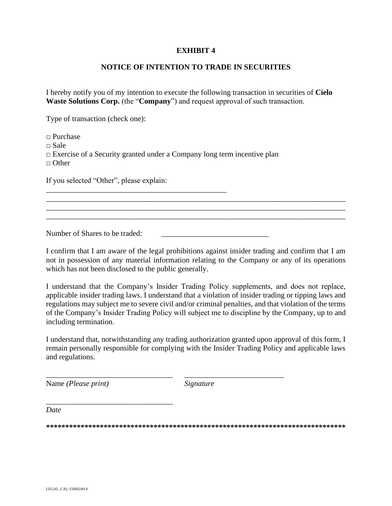# **EXHIBIT 4**

# **NOTICE OF INTENTION TO TRADE IN SECURITIES**

I hereby notify you of my intention to execute the following transaction in securities of **Cielo Waste Solutions Corp.** (the "**Company**") and request approval of such transaction.

Type of transaction (check one):

□ Purchase  $\Box$  Sale  $\Box$  Exercise of a Security granted under a Company long term incentive plan  $\Box$  Other

\_\_\_\_\_\_\_\_\_\_\_\_\_\_\_\_\_\_\_\_\_\_\_\_\_\_\_\_\_\_\_\_\_\_\_\_\_\_\_\_\_\_\_\_\_\_\_

If you selected "Other", please explain:

Number of Shares to be traded:

I confirm that I am aware of the legal prohibitions against insider trading and confirm that I am not in possession of any material information relating to the Company or any of its operations which has not been disclosed to the public generally.

\_\_\_\_\_\_\_\_\_\_\_\_\_\_\_\_\_\_\_\_\_\_\_\_\_\_\_\_\_\_\_\_\_\_\_\_\_\_\_\_\_\_\_\_\_\_\_\_\_\_\_\_\_\_\_\_\_\_\_\_\_\_\_\_\_\_\_\_\_\_\_\_\_\_\_\_\_\_ \_\_\_\_\_\_\_\_\_\_\_\_\_\_\_\_\_\_\_\_\_\_\_\_\_\_\_\_\_\_\_\_\_\_\_\_\_\_\_\_\_\_\_\_\_\_\_\_\_\_\_\_\_\_\_\_\_\_\_\_\_\_\_\_\_\_\_\_\_\_\_\_\_\_\_\_\_\_ \_\_\_\_\_\_\_\_\_\_\_\_\_\_\_\_\_\_\_\_\_\_\_\_\_\_\_\_\_\_\_\_\_\_\_\_\_\_\_\_\_\_\_\_\_\_\_\_\_\_\_\_\_\_\_\_\_\_\_\_\_\_\_\_\_\_\_\_\_\_\_\_\_\_\_\_\_\_

I understand that the Company's Insider Trading Policy supplements, and does not replace, applicable insider trading laws. I understand that a violation of insider trading or tipping laws and regulations may subject me to severe civil and/or criminal penalties, and that violation of the terms of the Company's Insider Trading Policy will subject me to discipline by the Company, up to and including termination.

I understand that, notwithstanding any trading authorization granted upon approval of this form, I remain personally responsible for complying with the Insider Trading Policy and applicable laws and regulations.

Name *(Please print) Signature*

*\_\_\_\_\_\_\_\_\_\_\_\_\_\_\_\_\_\_\_\_\_\_\_\_\_\_\_\_\_\_\_\_\_*

\_\_\_\_\_\_\_\_\_\_\_\_\_\_\_\_\_\_\_\_\_\_\_\_\_\_\_\_\_\_\_\_\_ \_\_\_\_\_\_\_\_\_\_\_\_\_\_\_\_\_\_\_\_\_\_\_\_\_\_

*Date*

**\*\*\*\*\*\*\*\*\*\*\*\*\*\*\*\*\*\*\*\*\*\*\*\*\*\*\*\*\*\*\*\*\*\*\*\*\*\*\*\*\*\*\*\*\*\*\*\*\*\*\*\*\*\*\*\*\*\*\*\*\*\*\*\*\*\*\*\*\*\*\*\*\*\*\*\*\*\***